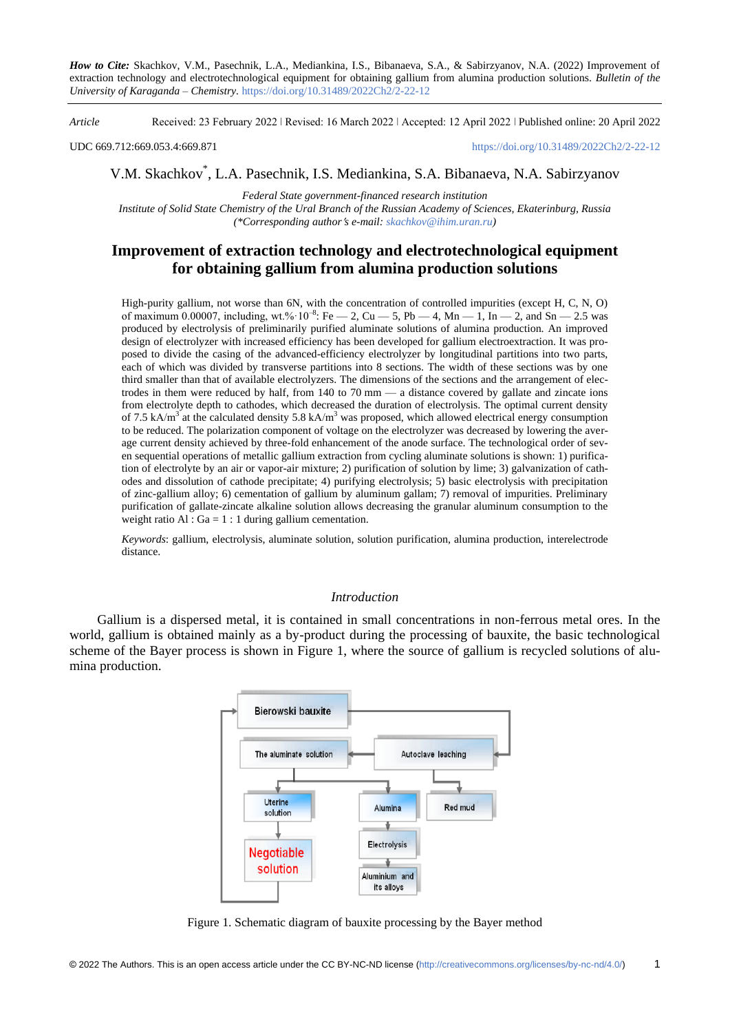*How to Cite:* Skachkov, V.M., Pasechnik, L.A., Mediankina, I.S., Bibanaeva, S.A., & Sabirzyanov, N.A. (2022) Improvement of extraction technology and electrotechnological equipment for obtaining gallium from alumina production solutions. *Bulletin of the University of Karaganda – Chemistry.* https://doi.org/10.31489/2022Ch2/2-22-12

*Article* Received: 23 February 2022 ǀ Revised: 16 March 2022 ǀ Accepted: 12 April 2022 ǀ Published online: 20 April 2022

UDC 669.712:669.053.4:669.871 <https://doi.org/10.31489/2022Ch2/2-22-12>

V.M. Skachkov\* , L.A. Pasechnik, I.S. Mediankina, S.A. Bibanaeva, N.A. Sabirzyanov

*Federal State government-financed research institution Institute of Solid State Chemistry of the Ural Branch of the Russian Academy of Sciences, Ekaterinburg, Russia (\*Corresponding authors e-mail: [skachkov@ihim.uran.ru\)](mailto:skachkov@ihim.uran.ru)*

# **Improvement of extraction technology and electrotechnological equipment for obtaining gallium from alumina production solutions**

High-purity gallium, not worse than 6N, with the concentration of controlled impurities (except H, C, N, O) of maximum 0.00007, including, wt.%  $10^{-8}$ : Fe  $- 2$ , Cu  $- 5$ , Pb  $- 4$ , Mn  $- 1$ , In  $- 2$ , and Sn  $- 2.5$  was produced by electrolysis of preliminarily purified aluminate solutions of alumina production. An improved design of electrolyzer with increased efficiency has been developed for gallium electroextraction. It was proposed to divide the casing of the advanced-efficiency electrolyzer by longitudinal partitions into two parts, each of which was divided by transverse partitions into 8 sections. The width of these sections was by one third smaller than that of available electrolyzers. The dimensions of the sections and the arrangement of electrodes in them were reduced by half, from 140 to 70 mm — a distance covered by gallate and zincate ions from electrolyte depth to cathodes, which decreased the duration of electrolysis. The optimal current density of 7.5 kA/m<sup>3</sup> at the calculated density 5.8 kA/m<sup>3</sup> was proposed, which allowed electrical energy consumption to be reduced. The polarization component of voltage on the electrolyzer was decreased by lowering the average current density achieved by three-fold enhancement of the anode surface. The technological order of seven sequential operations of metallic gallium extraction from cycling aluminate solutions is shown: 1) purification of electrolyte by an air or vapor-air mixture; 2) purification of solution by lime; 3) galvanization of cathodes and dissolution of cathode precipitate; 4) purifying electrolysis; 5) basic electrolysis with precipitation of zinc-gallium alloy; 6) cementation of gallium by aluminum gallam; 7) removal of impurities. Preliminary purification of gallate-zincate alkaline solution allows decreasing the granular aluminum consumption to the weight ratio Al :  $Ga = 1 : 1$  during gallium cementation.

*Keywords*: gallium, electrolysis, aluminate solution, solution purification, alumina production, interelectrode distance.

## *Introduction*

Gallium is a dispersed metal, it is contained in small concentrations in non-ferrous metal ores. In the world, gallium is obtained mainly as a by-product during the processing of bauxite, the basic technological scheme of the Bayer process is shown in Figure 1, where the source of gallium is recycled solutions of alumina production.



Figure 1. Schematic diagram of bauxite processing by the Bayer method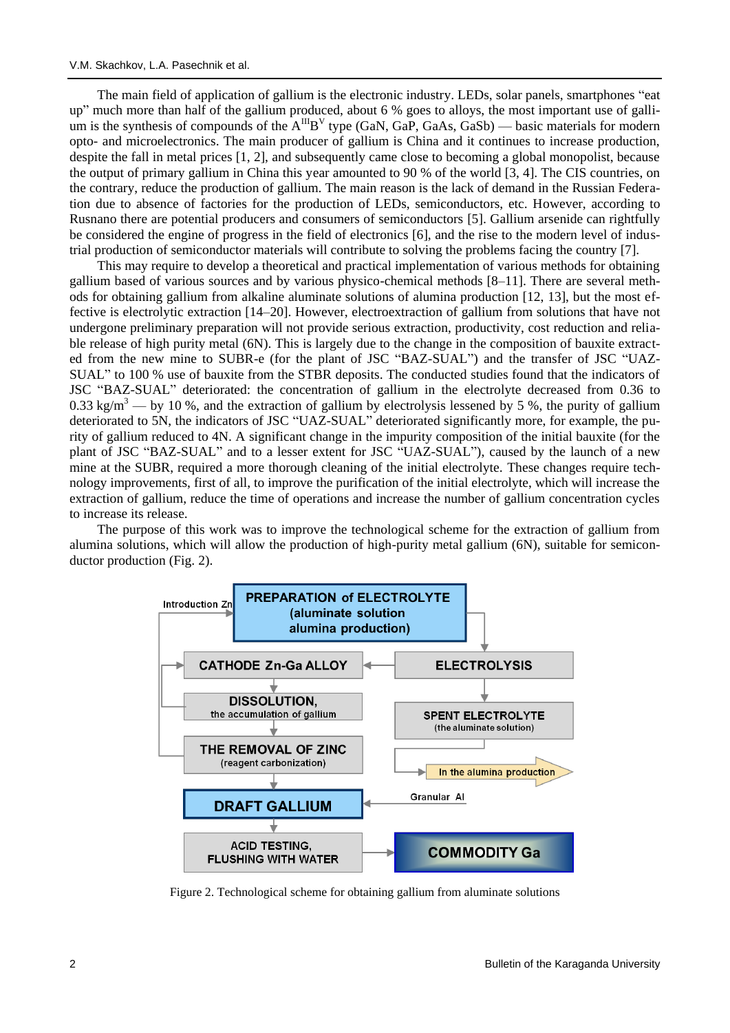The main field of application of gallium is the electronic industry. LEDs, solar panels, smartphones "eat up" much more than half of the gallium produced, about 6 % goes to alloys, the most important use of gallium is the synthesis of compounds of the  $A^{III}B^V$  type (GaN, GaP, GaAs, GaSb) — basic materials for modern opto- and microelectronics. The main producer of gallium is China and it continues to increase production, despite the fall in metal prices [1, 2], and subsequently came close to becoming a global monopolist, because the output of primary gallium in China this year amounted to 90 % of the world [3, 4]. The CIS countries, on the contrary, reduce the production of gallium. The main reason is the lack of demand in the Russian Federation due to absence of factories for the production of LEDs, semiconductors, etc. However, according to Rusnano there are potential producers and consumers of semiconductors [5]. Gallium arsenide can rightfully be considered the engine of progress in the field of electronics [6], and the rise to the modern level of industrial production of semiconductor materials will contribute to solving the problems facing the country [7].

This may require to develop a theoretical and practical implementation of various methods for obtaining gallium based of various sources and by various physico-chemical methods [8–11]. There are several methods for obtaining gallium from alkaline aluminate solutions of alumina production [12, 13], but the most effective is electrolytic extraction [14–20]. However, electroextraction of gallium from solutions that have not undergone preliminary preparation will not provide serious extraction, productivity, cost reduction and reliable release of high purity metal (6N). This is largely due to the change in the composition of bauxite extracted from the new mine to SUBR-e (for the plant of JSC "BAZ-SUAL") and the transfer of JSC "UAZ-SUAL" to 100 % use of bauxite from the STBR deposits. The conducted studies found that the indicators of JSC "BAZ-SUAL" deteriorated: the concentration of gallium in the electrolyte decreased from 0.36 to 0.33 kg/m<sup>3</sup> — by 10 %, and the extraction of gallium by electrolysis lessened by 5 %, the purity of gallium deteriorated to 5N, the indicators of JSC "UAZ-SUAL" deteriorated significantly more, for example, the purity of gallium reduced to 4N. A significant change in the impurity composition of the initial bauxite (for the plant of JSC "BAZ-SUAL" and to a lesser extent for JSC "UAZ-SUAL"), caused by the launch of a new mine at the SUBR, required a more thorough cleaning of the initial electrolyte. These changes require technology improvements, first of all, to improve the purification of the initial electrolyte, which will increase the extraction of gallium, reduce the time of operations and increase the number of gallium concentration cycles to increase its release.

The purpose of this work was to improve the technological scheme for the extraction of gallium from alumina solutions, which will allow the production of high-purity metal gallium (6N), suitable for semiconductor production (Fig. 2).



Figure 2. Technological scheme for obtaining gallium from aluminate solutions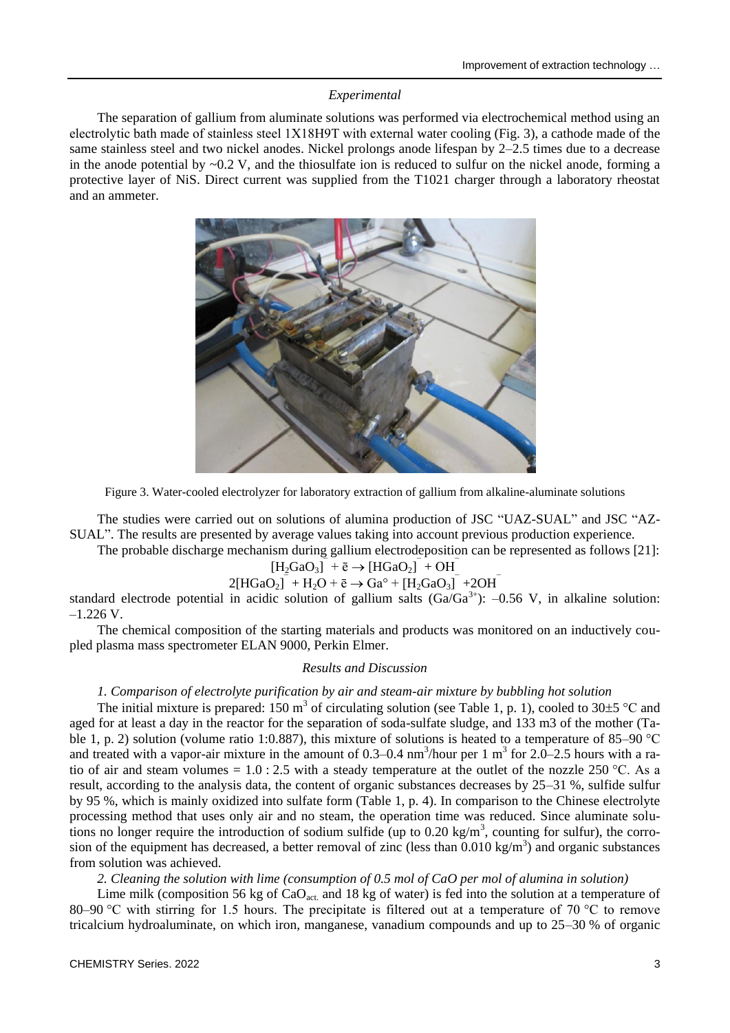## *Experimental*

The separation of gallium from aluminate solutions was performed via electrochemical method using an electrolytic bath made of stainless steel 1X18Н9T with external water cooling (Fig. 3), a cathode made of the same stainless steel and two nickel anodes. Nickel prolongs anode lifespan by 2–2.5 times due to a decrease in the anode potential by  $\sim 0.2$  V, and the thiosulfate ion is reduced to sulfur on the nickel anode, forming a protective layer of NiS. Direct current was supplied from the T1021 charger through a laboratory rheostat and an ammeter.



Figure 3. Water-cooled electrolyzer for laboratory extraction of gallium from alkaline-aluminate solutions

The studies were carried out on solutions of alumina production of JSC "UAZ-SUAL" and JSC "AZ-SUAL". The results are presented by average values taking into account previous production experience.

The probable discharge mechanism during gallium electrodeposition can be represented as follows [21]:

$$
[\mathrm{H}_2\mathrm{GaO}_3]^{\bar{-}} + \bar{e} \rightarrow [\mathrm{HGaO}_2]^{\bar{-}} + \mathrm{OH}^{\bar{-}}
$$

$$
2[HGaO2]- + H2O + \bar{e} \rightarrow Gao + [H2GaO3]- + 2OH-
$$

standard electrode potential in acidic solution of gallium salts  $(Ga/Ga^{3+})$ : -0.56 V, in alkaline solution:  $-1.226$  V.

The chemical composition of the starting materials and products was monitored on an inductively coupled plasma mass spectrometer ELAN 9000, Perkin Elmer.

## *Results and Discussion*

## *1. Comparison of electrolyte purification by air and steam-air mixture by bubbling hot solution*

The initial mixture is prepared: 150 m<sup>3</sup> of circulating solution (see Table 1, p. 1), cooled to 30 $\pm$ 5 °C and aged for at least a day in the reactor for the separation of soda-sulfate sludge, and 133 m3 of the mother (Table 1, p. 2) solution (volume ratio 1:0.887), this mixture of solutions is heated to a temperature of 85–90 °C and treated with a vapor-air mixture in the amount of 0.3–0.4  $nm^3$ /hour per 1 m<sup>3</sup> for 2.0–2.5 hours with a ratio of air and steam volumes =  $1.0 : 2.5$  with a steady temperature at the outlet of the nozzle 250 °C. As a result, according to the analysis data, the content of organic substances decreases by 25–31 %, sulfide sulfur by 95 %, which is mainly oxidized into sulfate form (Table 1, p. 4). In comparison to the Chinese electrolyte processing method that uses only air and no steam, the operation time was reduced. Since aluminate solutions no longer require the introduction of sodium sulfide (up to 0.20 kg/m<sup>3</sup>, counting for sulfur), the corrosion of the equipment has decreased, a better removal of zinc (less than  $0.010 \text{ kg/m}^3$ ) and organic substances from solution was achieved.

*2. Cleaning the solution with lime (consumption of 0.5 mol of CaO per mol of alumina in solution)* 

Lime milk (composition 56 kg of  $CaO<sub>act</sub>$  and 18 kg of water) is fed into the solution at a temperature of 80–90 °C with stirring for 1.5 hours. The precipitate is filtered out at a temperature of 70 °C to remove tricalcium hydroaluminate, on which iron, manganese, vanadium compounds and up to 25–30 % of organic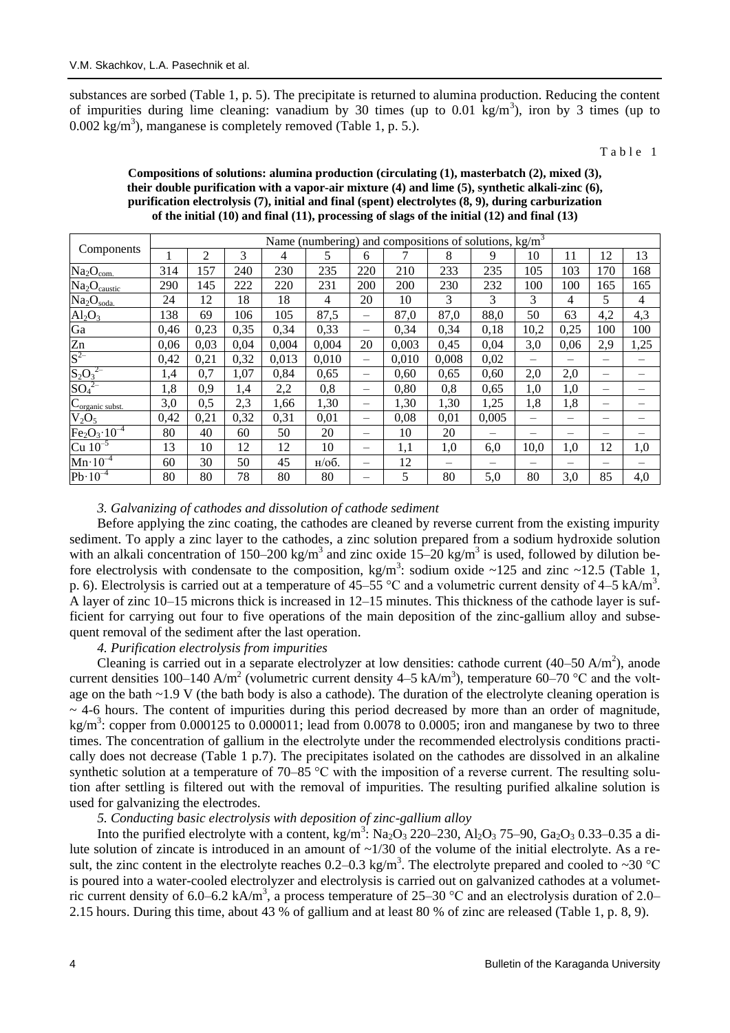substances are sorbed (Table 1, p. 5). The precipitate is returned to alumina production. Reducing the content of impurities during lime cleaning: vanadium by 30 times (up to  $0.01 \text{ kg/m}^3$ ), iron by 3 times (up to  $0.002$  kg/m<sup>3</sup>), manganese is completely removed (Table 1, p. 5.).

Table 1

| Components                               | Name (numbering) and compositions of solutions, $kg/m3$ |                |      |       |          |                                |       |       |       |      |      |                          |      |
|------------------------------------------|---------------------------------------------------------|----------------|------|-------|----------|--------------------------------|-------|-------|-------|------|------|--------------------------|------|
|                                          |                                                         | $\overline{c}$ | 3    | 4     | 5        | 6                              |       | 8     | 9     | 10   | 11   | 12                       | 13   |
| Na <sub>2</sub> O <sub>com.</sub>        | 314                                                     | 157            | 240  | 230   | 235      | 220                            | 210   | 233   | 235   | 105  | 103  | 170                      | 168  |
| Na <sub>2</sub> O <sub>caustic</sub>     | 290                                                     | 145            | 222  | 220   | 231      | 200                            | 200   | 230   | 232   | 100  | 100  | 165                      | 165  |
| Na <sub>2</sub> O <sub>soda</sub>        | 24                                                      | 12             | 18   | 18    | 4        | 20                             | 10    | 3     | 3     | 3    | 4    | 5                        | 4    |
| $Al_2O_3$                                | 138                                                     | 69             | 106  | 105   | 87,5     |                                | 87,0  | 87,0  | 88,0  | 50   | 63   | 4,2                      | 4,3  |
| Ga                                       | 0,46                                                    | 0,23           | 0,35 | 0,34  | 0,33     | $\qquad \qquad \longleftarrow$ | 0,34  | 0,34  | 0,18  | 10,2 | 0,25 | 100                      | 100  |
| $\overline{Zn}$                          | 0,06                                                    | 0,03           | 0,04 | 0,004 | 0,004    | 20                             | 0,003 | 0,45  | 0,04  | 3,0  | 0,06 | 2,9                      | 1,25 |
| $S^{2-}$                                 | 0,42                                                    | 0,21           | 0,32 | 0,013 | 0,010    |                                | 0,010 | 0.008 | 0,02  |      | —    |                          |      |
| $S_2O_3^{2-}$                            | 1,4                                                     | 0,7            | 1,07 | 0,84  | 0,65     |                                | 0,60  | 0,65  | 0,60  | 2,0  | 2,0  | -                        |      |
| $SO_4^2$                                 | 1,8                                                     | 0,9            | 1,4  | 2,2   | 0,8      |                                | 0,80  | 0,8   | 0,65  | 1,0  | 1,0  | $\overline{\phantom{0}}$ |      |
| $C_{\underline{\text{organic subset.}}}$ | 3,0                                                     | 0,5            | 2,3  | 1,66  | 1,30     |                                | 1,30  | 1,30  | 1,25  | 1,8  | 1,8  | -                        |      |
| $V_2O_5$                                 | 0,42                                                    | 0,21           | 0,32 | 0,31  | 0,01     |                                | 0,08  | 0,01  | 0,005 |      |      |                          |      |
| $Fe2O3 10-4$                             | 80                                                      | 40             | 60   | 50    | 20       | -                              | 10    | 20    |       |      | -    | –                        |      |
| $Cu$ 10 <sup>-5</sup>                    | 13                                                      | 10             | 12   | 12    | 10       | —                              | 1,1   | 1,0   | 6,0   | 10,0 | 1,0  | 12                       | 1,0  |
| $Mn \cdot 10^{-4}$                       | 60                                                      | 30             | 50   | 45    | $H/OO$ . |                                | 12    |       |       |      |      |                          |      |
| $Pb \cdot 10^{-4}$                       | 80                                                      | 80             | 78   | 80    | 80       |                                | 5     | 80    | 5,0   | 80   | 3,0  | 85                       | 4,0  |

## **Compositions of solutions: alumina production (circulating (1), masterbatch (2), mixed (3), their double purification with a vapor-air mixture (4) and lime (5), synthetic alkali-zinc (6), purification electrolysis (7), initial and final (spent) electrolytes (8, 9), during carburization of the initial (10) and final (11), processing of slags of the initial (12) and final (13)**

### *3. Galvanizing of cathodes and dissolution of cathode sediment*

Before applying the zinc coating, the cathodes are cleaned by reverse current from the existing impurity sediment. To apply a zinc layer to the cathodes, a zinc solution prepared from a sodium hydroxide solution with an alkali concentration of 150–200 kg/m<sup>3</sup> and zinc oxide  $15-20$  kg/m<sup>3</sup> is used, followed by dilution before electrolysis with condensate to the composition,  $kg/m^3$ : sodium oxide ~125 and zinc ~12.5 (Table 1, p. 6). Electrolysis is carried out at a temperature of  $45-55$  °C and a volumetric current density of  $4-5$  kA/m<sup>3</sup>. A layer of zinc 10–15 microns thick is increased in 12–15 minutes. This thickness of the cathode layer is sufficient for carrying out four to five operations of the main deposition of the zinc-gallium alloy and subsequent removal of the sediment after the last operation.

## *4. Purification electrolysis from impurities*

Cleaning is carried out in a separate electrolyzer at low densities: cathode current  $(40-50 \text{ A/m}^2)$ , anode current densities 100–140 A/m<sup>2</sup> (volumetric current density 4–5 kA/m<sup>3</sup>), temperature 60–70 °C and the voltage on the bath ~1.9 V (the bath body is also a cathode). The duration of the electrolyte cleaning operation is  $\sim$  4-6 hours. The content of impurities during this period decreased by more than an order of magnitude, kg/m<sup>3</sup>: copper from 0.000125 to 0.000011; lead from 0.0078 to 0.0005; iron and manganese by two to three times. The concentration of gallium in the electrolyte under the recommended electrolysis conditions practically does not decrease (Table 1 p.7). The precipitates isolated on the cathodes are dissolved in an alkaline synthetic solution at a temperature of 70–85 °C with the imposition of a reverse current. The resulting solution after settling is filtered out with the removal of impurities. The resulting purified alkaline solution is used for galvanizing the electrodes.

## *5. Conducting basic electrolysis with deposition of zinc-gallium alloy*

Into the purified electrolyte with a content, kg/m<sup>3</sup>: Na<sub>2</sub>O<sub>3</sub> 220–230, Al<sub>2</sub>O<sub>3</sub> 75–90, Ga<sub>2</sub>O<sub>3</sub> 0.33–0.35 a dilute solution of zincate is introduced in an amount of ~1/30 of the volume of the initial electrolyte. As a result, the zinc content in the electrolyte reaches 0.2–0.3 kg/m<sup>3</sup>. The electrolyte prepared and cooled to ~30 °C is poured into a water-cooled electrolyzer and electrolysis is carried out on galvanized cathodes at a volumetric current density of 6.0–6.2 kA/m<sup>3</sup>, a process temperature of 25–30 °C and an electrolysis duration of 2.0– 2.15 hours. During this time, about 43 % of gallium and at least 80 % of zinc are released (Table 1, p. 8, 9).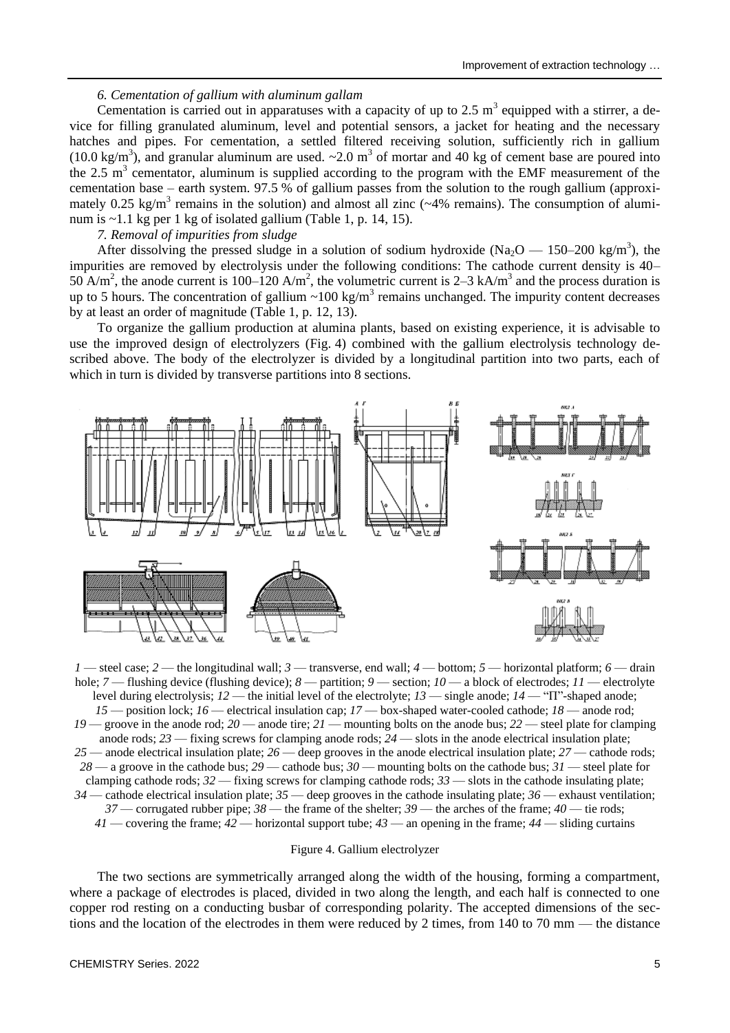### *6. Cementation of gallium with aluminum gallam*

Cementation is carried out in apparatuses with a capacity of up to 2.5  $m<sup>3</sup>$  equipped with a stirrer, a device for filling granulated aluminum, level and potential sensors, a jacket for heating and the necessary hatches and pipes. For cementation, a settled filtered receiving solution, sufficiently rich in gallium (10.0 kg/m<sup>3</sup>), and granular aluminum are used.  $\sim$ 2.0 m<sup>3</sup> of mortar and 40 kg of cement base are poured into the 2.5  $m<sup>3</sup>$  cementator, aluminum is supplied according to the program with the EMF measurement of the cementation base – earth system. 97.5 % of gallium passes from the solution to the rough gallium (approximately 0.25 kg/m<sup>3</sup> remains in the solution) and almost all zinc ( $\sim$ 4% remains). The consumption of aluminum is ~1.1 kg per 1 kg of isolated gallium (Table 1, p. 14, 15).

## *7. Removal of impurities from sludge*

After dissolving the pressed sludge in a solution of sodium hydroxide (Na<sub>2</sub>O — 150–200 kg/m<sup>3</sup>), the impurities are removed by electrolysis under the following conditions: The cathode current density is 40– 50 A/m<sup>2</sup>, the anode current is 100–120 A/m<sup>2</sup>, the volumetric current is 2–3 kA/m<sup>3</sup> and the process duration is up to 5 hours. The concentration of gallium  $\sim 100 \text{ kg/m}^3$  remains unchanged. The impurity content decreases by at least an order of magnitude (Table 1, p. 12, 13).

To organize the gallium production at alumina plants, based on existing experience, it is advisable to use the improved design of electrolyzers (Fig. 4) combined with the gallium electrolysis technology described above. The body of the electrolyzer is divided by a longitudinal partition into two parts, each of which in turn is divided by transverse partitions into 8 sections.



*1* — steel case; *2* — the longitudinal wall; *3* — transverse, end wall; *4* — bottom; *5* — horizontal platform; *6* — drain hole; *7* — flushing device (flushing device); *8* — partition; *9* — section; *10* — a block of electrodes; *11* — electrolyte level during electrolysis; *12* — the initial level of the electrolyte; *13* — single anode; *14* — "П"-shaped anode; *15* — position lock; *16* — electrical insulation cap; *17* — box-shaped water-cooled cathode; *18* — anode rod; *19* — groove in the anode rod; *20* — anode tire; *21* — mounting bolts on the anode bus; *22* — steel plate for clamping anode rods; *23* — fixing screws for clamping anode rods; *24* — slots in the anode electrical insulation plate; *25* — anode electrical insulation plate; *26* — deep grooves in the anode electrical insulation plate; *27* — cathode rods; *28* — a groove in the cathode bus; *29* — cathode bus; *30* — mounting bolts on the cathode bus; *31* — steel plate for clamping cathode rods; *32* — fixing screws for clamping cathode rods; *33* — slots in the cathode insulating plate; *34* — cathode electrical insulation plate; *35* — deep grooves in the cathode insulating plate; *36* — exhaust ventilation; *37* — corrugated rubber pipe; *38* — the frame of the shelter; *39* — the arches of the frame; *40* — tie rods; *41* — covering the frame; *42* — horizontal support tube; *43* — an opening in the frame; *44* — sliding curtains

#### Figure 4. Gallium electrolyzer

The two sections are symmetrically arranged along the width of the housing, forming a compartment, where a package of electrodes is placed, divided in two along the length, and each half is connected to one copper rod resting on a conducting busbar of corresponding polarity. The accepted dimensions of the sections and the location of the electrodes in them were reduced by 2 times, from 140 to 70 mm — the distance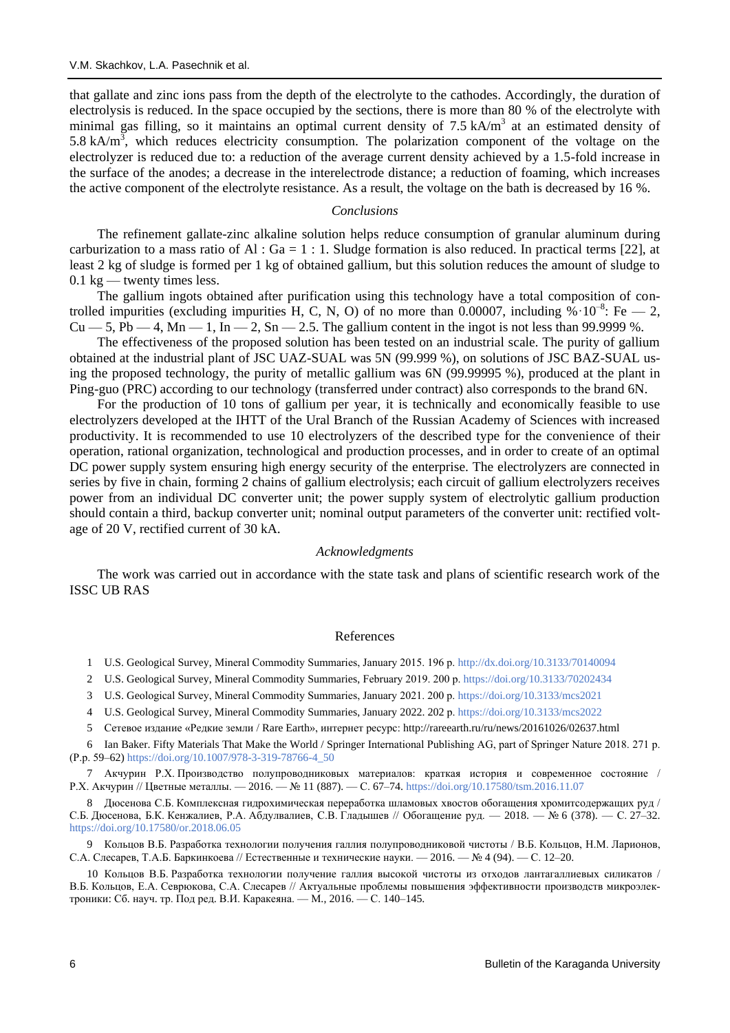that gallate and zinc ions pass from the depth of the electrolyte to the cathodes. Accordingly, the duration of electrolysis is reduced. In the space occupied by the sections, there is more than 80 % of the electrolyte with minimal gas filling, so it maintains an optimal current density of  $7.5 \text{ kA/m}^3$  at an estimated density of 5.8 kA/ $m<sup>3</sup>$ , which reduces electricity consumption. The polarization component of the voltage on the electrolyzer is reduced due to: a reduction of the average current density achieved by a 1.5-fold increase in the surface of the anodes; a decrease in the interelectrode distance; a reduction of foaming, which increases the active component of the electrolyte resistance. As a result, the voltage on the bath is decreased by 16 %.

### *Conclusions*

The refinement gallate-zinc alkaline solution helps reduce consumption of granular aluminum during carburization to a mass ratio of Al :  $Ga = 1$  : 1. Sludge formation is also reduced. In practical terms [22], at least 2 kg of sludge is formed per 1 kg of obtained gallium, but this solution reduces the amount of sludge to  $0.1 \text{ kg}$  — twenty times less.

The gallium ingots obtained after purification using this technology have a total composition of controlled impurities (excluding impurities H, C, N, O) of no more than 0.00007, including  $\% \cdot 10^{-8}$ : Fe  $- 2$ ,  $Cu - 5$ , Pb  $-4$ , Mn  $-1$ , In  $-2$ , Sn  $-2.5$ . The gallium content in the ingot is not less than 99.9999 %.

The effectiveness of the proposed solution has been tested on an industrial scale. The purity of gallium obtained at the industrial plant of JSC UAZ-SUAL was 5N (99.999 %), on solutions of JSC BAZ-SUAL using the proposed technology, the purity of metallic gallium was 6N (99.99995 %), produced at the plant in Ping-guo (PRC) according to our technology (transferred under contract) also corresponds to the brand 6N.

For the production of 10 tons of gallium per year, it is technically and economically feasible to use electrolyzers developed at the IHTT of the Ural Branch of the Russian Academy of Sciences with increased productivity. It is recommended to use 10 electrolyzers of the described type for the convenience of their operation, rational organization, technological and production processes, and in order to create of an optimal DC power supply system ensuring high energy security of the enterprise. The electrolyzers are connected in series by five in chain, forming 2 chains of gallium electrolysis; each circuit of gallium electrolyzers receives power from an individual DC converter unit; the power supply system of electrolytic gallium production should contain a third, backup converter unit; nominal output parameters of the converter unit: rectified voltage of 20 V, rectified current of 30 kA.

### *Acknowledgments*

The work was carried out in accordance with the state task and plans of scientific research work of the ISSC UB RAS

### References

1 U.S. Geological Survey, Mineral Commodity Summaries, January 2015. 196 р. <http://dx.doi.org/10.3133/70140094>

2 U.S. Geological Survey, Mineral Commodity Summaries, February 2019. 200 р.<https://doi.org/10.3133/70202434>

- 3 U.S. Geological Survey, Mineral Commodity Summaries, January 2021. 200 р. <https://doi.org/10.3133/mcs2021>
- 4 U.S. Geological Survey, Mineral Commodity Summaries, January 2022. 202 р[. https://doi.org/10.3133/mcs2022](https://doi.org/10.3133/mcs2022)

5 Сетевое издание «Редкие земли / Rare Earth», интернет ресурс: http://rareearth.ru/ru/news/20161026/02637.html

6 Ian Baker. Fifty Materials That Make the World / Springer International Publishing AG, part of Springer Nature 2018. 271 р. (Р.р. 59–62) [https://doi.org/10.1007/978-3-319-78766-4\\_50](https://doi.org/10.1007/978-3-319-78766-4_50)

7 Акчурин Р.Х. Производство полупроводниковых материалов: краткая история и современное состояние / Р.Х. Акчурин // Цветные металлы. — 2016. — № 11 (887). — С. 67–74[. https://doi.org/10.17580/tsm.2016.11.07](https://doi.org/10.17580/tsm.2016.11.07)

8 Дюсенова С.Б. Комплексная гидрохимическая переработка шламовых хвостов обогащения хромитсодержащих руд / С.Б. Дюсенова, Б.К. Кенжалиев, Р.А. Абдулвалиев, С.В. Гладышев // Обогащение руд. — 2018. — № 6 (378). — С. 27–32. <https://doi.org/10.17580/or.2018.06.05>

9 Кольцов В.Б. Разработка технологии получения галлия полупроводниковой чистоты / В.Б. Кольцов, Н.М. Ларионов, С.А. Слесарев, Т.А.Б. Баркинкоева // Естественные и технические науки. — 2016. — № 4 (94). — С. 12–20.

10 Кольцов В.Б. Разработка технологии получение галлия высокой чистоты из отходов лантагаллиевых силикатов / В.Б. Кольцов, Е.А. Севрюкова, С.А. Слесарев // Актуальные проблемы повышения эффективности производств микроэлектроники: Сб. науч. тр. Под ред. В.И. Каракеяна. — М., 2016. — С. 140–145.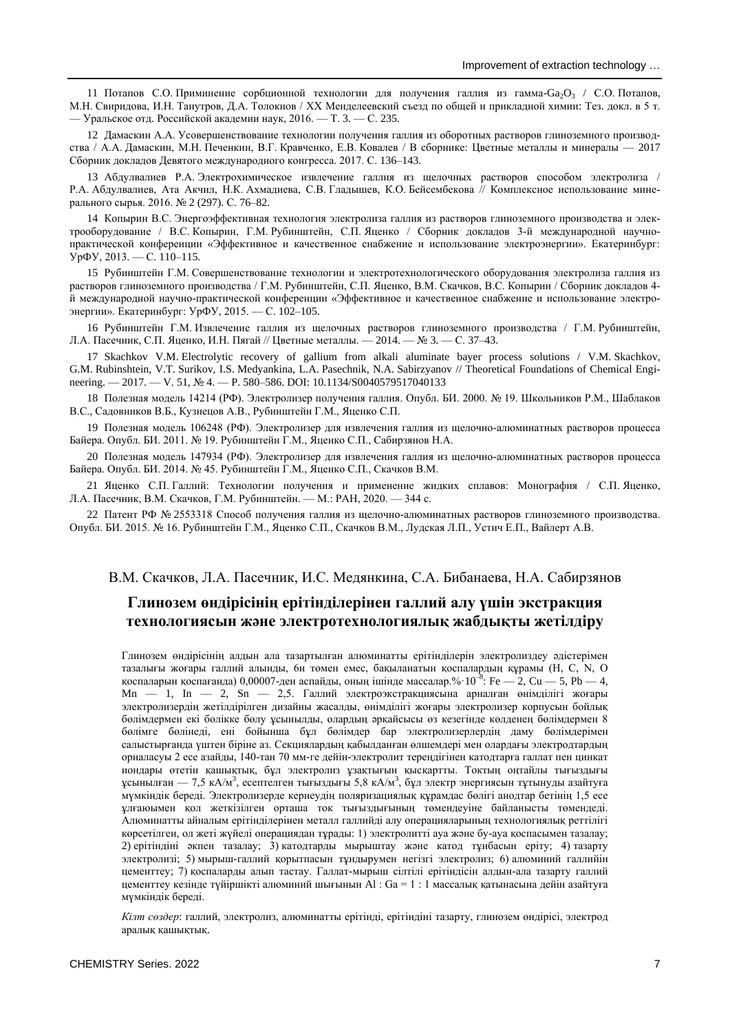11 Потапов С.О. Приминение сорбционной технологии для получения галлия из гамма-Ga<sub>2</sub>O<sub>3</sub> / С.О. Потапов, М.Н. Свиридова, И.Н. Танутров, Д.А. Толокнов / ХХ Менделеевский съезд по общей и прикладной химии: Тез. докл. в 5 т. — Уральское отд. Российской академии наук, 2016. — Т. 3. — С. 235.

12 Дамаскин А.А. Усовершенствование технологии получения галлия из оборотных растворов глиноземного производства / А.А. Дамаскин, М.Н. Печенкин, В.Г. Кравченко, Е.В. Ковалев / В сборнике: Цветные металлы и минералы — 2017 Сборник докладов Девятого международного конгресса. 2017. С. 136–143.

13 Абдулвалиев Р.А. Электрохимическое извлечение галлия из щелочных растворов способом электролиза / Р.А. Абдулвалиев, Ата Акчил, Н.К. Ахмадиева, С.В. Гладышев, К.О. Бейсембекова // Комплексное использование минерального сырья. 2016. № 2 (297). С. 76–82.

14 Копырин В.С. Энергоэффективная технология электролиза галлия из растворов глиноземного производства и электрооборудование / В.С. Копырин, Г.М. Рубинштейн, С.П. Яценко / Сборник докладов 3-й международной научнопрактической конференции «Эффективное и качественное снабжение и использование электроэнергии». Екатеринбург: УрФУ, 2013. — С. 110–115.

15 Рубинштейн Г.М. Совершенствование технологии и электротехнологического оборудования электролиза галлия из растворов глиноземного производства / Г.М. Рубинштейн, С.П. Яценко, В.М. Скачков, В.С. Копырин / Сборник докладов 4 й международной научно-практической конференции «Эффективное и качественное снабжение и использование электроэнергии». Екатеринбург: УрФУ, 2015. — С. 102–105.

16 Рубинштейн Г.М. Извлечение галлия из щелочных растворов глиноземного производства / Г.М. Рубинштейн, Л.А. Пасечник, С.П. Яценко, И.Н. Пягай // Цветные металлы. — 2014. — № 3. — С. 37–43.

17 Skachkov V.M. Electrolytic recovery of gallium from alkali aluminate bayer process solutions / V.M. Skachkov, G.M. Rubinshtein, V.T. Surikov, I.S. Medyankina, L.A. Pasechnik, N.A. Sabirzyanov // Theoretical Foundations of Chemical Engineering. — 2017. — V. 51, № 4. — P. 580–586. DOI: 10.1134/S0040579517040133

18 Полезная модель 14214 (РФ). Электролизер получения галлия. Опубл. БИ. 2000. № 19. Школьников Р.М., Шаблаков В.С., Садовников В.Б., Кузнецов А.В., Рубинштейн Г.М., Яценко С.П.

19 Полезная модель 106248 (РФ). Электролизер для извлечения галлия из щелочно-алюминатных растворов процесса Байера. Опубл. БИ. 2011. № 19. Рубинштейн Г.М., Яценко С.П., Сабирзянов Н.А.

20 Полезная модель 147934 (РФ). Электролизер для извлечения галлия из щелочно-алюминатных растворов процесса Байера. Опубл. БИ. 2014. № 45. Рубинштейн Г.М., Яценко С.П., Скачков В.М.

21 Яценко С.П. Галлий: Технологии получения и применение жидких сплавов: Монография / С.П. Яценко, Л.А. Пасечник, В.М. Скачков, Г.М. Рубинштейн. — М.: РАН, 2020. — 344 с.

22 Патент РФ № 2553318 Способ получения галлия из щелочно-алюминатных растворов глиноземного производства. Опубл. БИ. 2015. № 16. Рубинштейн Г.М., Яценко С.П., Скачков В.М., Лудская Л.П., Устич Е.П., Вайлерт А.В.

## В.М. Скачков, Л.А. Пасечник, И.С. Медянкина, С.А. Бибанаева, Н.А. Сабирзянов

# **Глинозем өндірісінің ерітінділерінен галлий алу үшін экстракция технологиясын және электротехнологиялық жабдықты жетілдіру**

Глинозем өндірісінің алдын ала тазартылған алюминатты ерітінділерін электролиздеу әдістерімен тазалығы жоғары галлий алынды, 6н төмен емес, бақыланатын қоспалардың құрамы (Н, С, N, O қоспаларын қоспағанда) 0,00007-ден аспайды, оның ішінде массалар.% $10^{-8}$ : Fe  $-2$ , Cu  $-5$ , Pb  $-4$ ,  $Mn - 1$ ,  $In - 2$ ,  $Sn - 2$ , Галлий электроэкстракциясына арналған өнімділігі жоғары электролизердің жетілдірілген дизайны жасалды, өнімділігі жоғары электролизер корпусын бойлық бөлімдермен екі бөлікке бөлу ұсынылды, олардың әрқайсысы өз кезегінде көлденең бөлімдермен 8 бөлімге бөлінеді, ені бойынша бұл бөлімдер бар электролизерлердің даму бөлімдерімен салыстырғанда үштен біріне аз. Секциялардың қабылданған өлшемдері мен олардағы электродтардың орналасуы 2 есе азайды, 140-тан 70 мм-ге дейін-электролит тереңдігінен катодтарға галлат пен цинкат иондары өтетін қашықтық, бұл электролиз ұзақтығын қысқартты. Токтың оңтайлы тығыздығы ұсынылған — 7,5 кА/м<sup>3</sup> , есептелген тығыздығы 5,8 кА/м<sup>3</sup> , бұл электр энергиясын тұтынуды азайтуға мүмкіндік береді. Электролизерде кернеудің поляризациялық құрамдас бөлігі анодтар бетінің 1,5 есе ұлғаюымен қол жеткізілген орташа ток тығыздығының төмендеуіне байланысты төмендеді. Алюминатты айналым ерітінділерінен металл галлийді алу операцияларының технологиялық реттілігі көрсетілген, ол жеті жүйелі операциядан тұрады: 1) электролитті ауа және бу-ауа қоспасымен тазалау; 2) ерітіндіні әкпен тазалау; 3) катодтарды мырыштау және катод тұнбасын еріту; 4) тазарту электролизі; 5) мырыш-галлий қорытпасын тұндырумен негізгі электролиз; 6) алюминий галлийін цементтеу; 7) қоспаларды алып тастау. Галлат-мырыш сілтілі ерітіндісін алдын-ала тазарту галлий цементтеу кезінде түйіршікті алюминий шығынын Al : Ga = 1 : 1 массалық қатынасына дейін азайтуға мүмкіндік береді.

*Кілт сөздер*: галлий, электролиз, алюминатты ерітінді, ерітіндіні тазарту, глинозем өндірісі, электрод аралық қашықтық.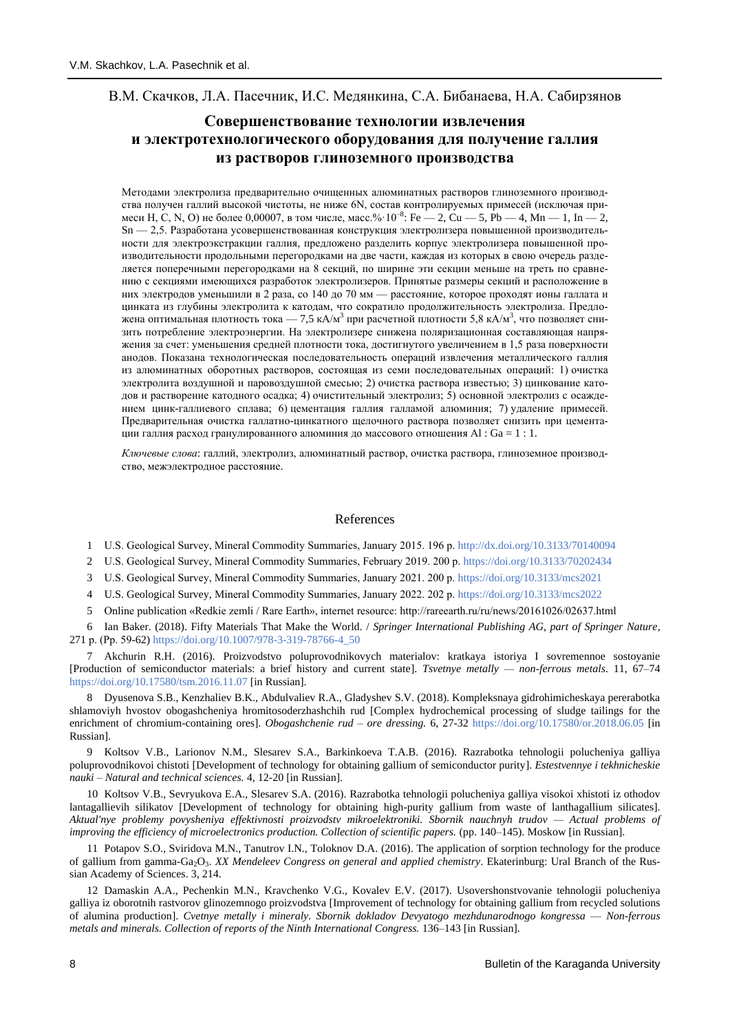## В.М. Скачков, Л.А. Пасечник, И.С. Медянкина, С.А. Бибанаева, Н.А. Сабирзянов

# **Совершенствование технологии извлечения и электротехнологического оборудования для получение галлия из растворов глиноземного производства**

Методами электролиза предварительно очищенных алюминатных растворов глиноземного производства получен галлий высокой чистоты, не ниже 6N, состав контролируемых примесей (исключая примеси Н, С, N, O) не более 0,00007, в том числе, масс.% $10^{-8}$ : Fe  $-$  2, Cu  $-$  5, Pb  $-$  4, Mn  $-$  1, In  $-$  2, Sn — 2,5. Разработана усовершенствованная конструкция электролизера повышенной производительности для электроэкстракции галлия, предложено разделить корпус электролизера повышенной производительности продольными перегородками на две части, каждая из которых в свою очередь разделяется поперечными перегородками на 8 секций, по ширине эти секции меньше на треть по сравнению с секциями имеющихся разработок электролизеров. Принятые размеры секций и расположение в них электродов уменьшили в 2 раза, со 140 до 70 мм — расстояние, которое проходят ионы галлата и цинката из глубины электролита к катодам, что сократило продолжительность электролиза. Предложена оптимальная плотность тока — 7,5 кА/м<sup>3</sup> при расчетной плотности 5,8 кА/м<sup>3</sup>, что позволяет снизить потребление электроэнергии. На электролизере снижена поляризационная составляющая напряжения за счет: уменьшения средней плотности тока, достигнутого увеличением в 1,5 раза поверхности анодов. Показана технологическая последовательность операций извлечения металлического галлия из алюминатных оборотных растворов, состоящая из семи последовательных операций: 1) очистка электролита воздушной и паровоздушной смесью; 2) очистка раствора известью; 3) цинкование катодов и растворение катодного осадка; 4) очистительный электролиз; 5) основной электролиз с осаждением цинк-галлиевого сплава; 6) цементация галлия галламой алюминия; 7) удаление примесей. Предварительная очистка галлатно-цинкатного щелочного раствора позволяет снизить при цементации галлия расход гранулированного алюминия до массового отношения Al : Ga = 1 : 1.

*Ключевые слова*: галлий, электролиз, алюминатный раствор, очистка раствора, глиноземное производство, межэлектродное расстояние.

#### References

1 U.S. Geological Survey, Mineral Commodity Summaries, January 2015. 196 р[. http://dx.doi.org/10.3133/70140094](http://dx.doi.org/10.3133/70140094)

2 U.S. Geological Survey, Mineral Commodity Summaries, February 2019. 200 р.<https://doi.org/10.3133/70202434>

3 U.S. Geological Survey, Mineral Commodity Summaries, January 2021. 200 р[. https://doi.org/10.3133/mcs2021](https://doi.org/10.3133/mcs2021)

- 4 U.S. Geological Survey, Mineral Commodity Summaries, January 2022. 202 р[. https://doi.org/10.3133/mcs2022](https://doi.org/10.3133/mcs2022)
- 5 Online publication «Redkie zemli / Rare Earth», internet resource: http://rareearth.ru/ru/news/20161026/02637.html

6 Ian Baker. (2018). Fifty Materials That Make the World. / *Springer International Publishing AG, part of Springer Nature,* 271 р. (Рр. 59-62[\) https://doi.org/10.1007/978-3-319-78766-4\\_50](https://doi.org/10.1007/978-3-319-78766-4_50)

7 Akchurin R.H. (2016). Proizvodstvo poluprovodnikovych materialov: kratkaya istoriya I sovremennoe sostoyanie [Production of semiconductor materials: a brief history and current state]. *Tsvetnye metally — non-ferrous metals*. 11, 67–74 <https://doi.org/10.17580/tsm.2016.11.07> [in Russian].

8 Dyusenova S.B., Kenzhaliev B.K., Abdulvaliev R.A., Gladyshev S.V. (2018). Kompleksnaya gidrohimicheskaya pererabotka shlamoviyh hvostov obogashcheniya hromitosoderzhashchih rud [Complex hydrochemical processing of sludge tailings for the enrichment of chromium-containing ores]. *Obogashchenie rud – ore dressing.* 6, 27-32<https://doi.org/10.17580/or.2018.06.05> [in Russian].

9 Koltsov V.B., Larionov N.M., Slesarev S.A., Barkinkoeva T.A.B. (2016). Razrabotka tehnologii polucheniya galliya poluprovodnikovoi chistoti [Development of technology for obtaining gallium of semiconductor purity]. *Estestvennye i tekhnicheskie nauki – Natural and technical sciences.* 4, 12-20 [in Russian].

10 Koltsov V.B., Sevryukova E.A., Slesarev S.A. (2016). Razrabotka tehnologii polucheniya galliya visokoi xhistoti iz othodov lantagallievih silikatov [Development of technology for obtaining high-purity gallium from waste of lanthagallium silicates]. *Aktual'nye problemy povysheniya effektivnosti proizvodstv mikroelektroniki. Sbornik nauchnyh trudov — Actual problems of improving the efficiency of microelectronics production. Collection of scientific papers.* (pp. 140–145). Moskow [in Russian].

11 Potapov S.O., Sviridova M.N., Tanutrov I.N., Toloknov D.A. (2016). The application of sorption technology for the produce of gallium from gamma-Ga2O3. *XX Mendeleev Congress on general and applied chemistry*. Ekaterinburg: Ural Branch of the Russian Academy of Sciences. 3, 214.

12 Damaskin A.A., Pechenkin M.N., Kravchenko V.G., Kovalev E.V. (2017). Usovershonstvovanie tehnologii polucheniya galliya iz oborotnih rastvorov glinozemnogo proizvodstva [Improvement of technology for obtaining gallium from recycled solutions of alumina production]. *Cvetnye metally i mineraly. Sbornik dokladov Devyatogo mezhdunarodnogo kongressa* — *Non-ferrous metals and minerals. Collection of reports of the Ninth International Congress.* 136–143 [in Russian].